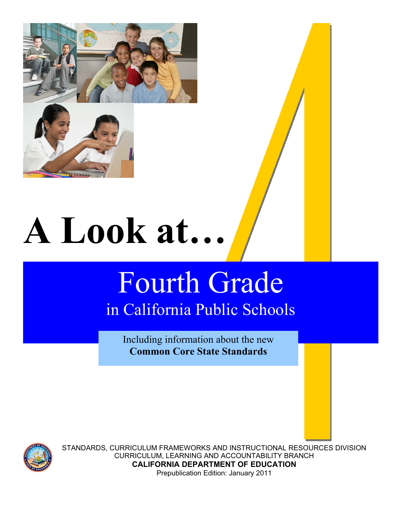

# **A Look at…**

# Fourth Grade in California Public Schools

Including information about the new **Common Core State Standards**



STANDARDS, CURRICULUM FRAMEWORKS AND INSTRUCTIONAL RESOURCES DIVISION CURRICULUM, LEARNING AND ACCOUNTABILITY BRANCH **CALIFORNIA DEPARTMENT OF EDUCATION**  Prepublication Edition: January 2011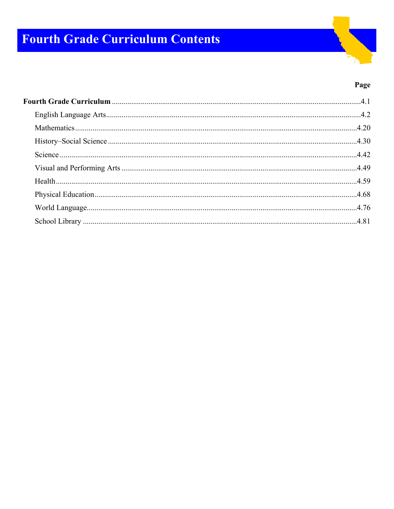# **Fourth Grade Curriculum Contents**

#### Page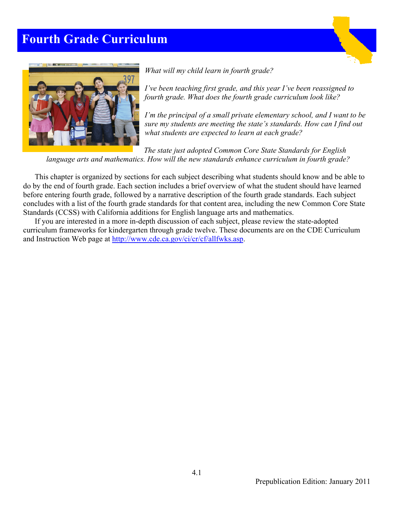# **Fourth Grade Curriculum**





*What will my child learn in fourth grade?* 

*I've been teaching first grade, and this year I've been reassigned to fourth grade. What does the fourth grade curriculum look like?* 

*I'm the principal of a small private elementary school, and I want to be sure my students are meeting the state's standards. How can I find out what students are expected to learn at each grade?* 

*The state just adopted Common Core State Standards for English language arts and mathematics. How will the new standards enhance curriculum in fourth grade?* 

 This chapter is organized by sections for each subject describing what students should know and be able to do by the end of fourth grade. Each section includes a brief overview of what the student should have learned before entering fourth grade, followed by a narrative description of the fourth grade standards. Each subject concludes with a list of the fourth grade standards for that content area, including the new Common Core State Standards (CCSS) with California additions for English language arts and mathematics.

If you are interested in a more in-depth discussion of each subject, please review the state-adopted curriculum frameworks for kindergarten through grade twelve. These documents are on the CDE Curriculum and Instruction Web page at http://www.cde.ca.gov/ci/cr/cf/allfwks.asp.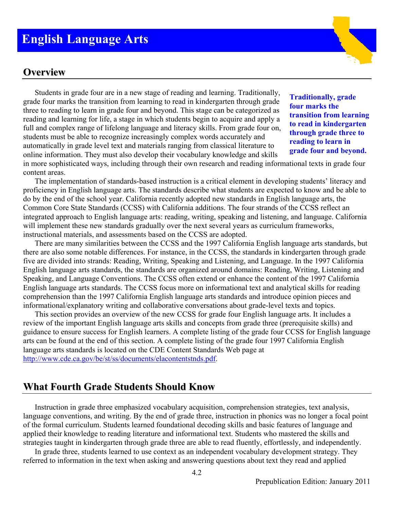## **English Language Arts**

#### **Overview**

Students in grade four are in a new stage of reading and learning. Traditionally, grade four marks the transition from learning to read in kindergarten through grade three to reading to learn in grade four and beyond. This stage can be categorized as reading and learning for life, a stage in which students begin to acquire and apply a full and complex range of lifelong language and literacy skills. From grade four on, students must be able to recognize increasingly complex words accurately and automatically in grade level text and materials ranging from classical literature to online information. They must also develop their vocabulary knowledge and skills

**Traditionally, grade four marks the transition from learning to read in kindergarten through grade three to reading to learn in grade four and beyond.** 

in more sophisticated ways, including through their own research and reading informational texts in grade four content areas.

The implementation of standards-based instruction is a critical element in developing students' literacy and proficiency in English language arts. The standards describe what students are expected to know and be able to do by the end of the school year. California recently adopted new standards in English language arts, the Common Core State Standards (CCSS) with California additions. The four strands of the CCSS reflect an integrated approach to English language arts: reading, writing, speaking and listening, and language. California will implement these new standards gradually over the next several years as curriculum frameworks, instructional materials, and assessments based on the CCSS are adopted.

There are many similarities between the CCSS and the 1997 California English language arts standards, but there are also some notable differences. For instance, in the CCSS, the standards in kindergarten through grade five are divided into strands: Reading, Writing, Speaking and Listening, and Language. In the 1997 California English language arts standards, the standards are organized around domains: Reading, Writing, Listening and Speaking, and Language Conventions. The CCSS often extend or enhance the content of the 1997 California English language arts standards. The CCSS focus more on informational text and analytical skills for reading comprehension than the 1997 California English language arts standards and introduce opinion pieces and informational/explanatory writing and collaborative conversations about grade-level texts and topics.

This section provides an overview of the new CCSS for grade four English language arts. It includes a review of the important English language arts skills and concepts from grade three (prerequisite skills) and guidance to ensure success for English learners. A complete listing of the grade four CCSS for English language arts can be found at the end of this section. A complete listing of the grade four 1997 California English language arts standards is located on the CDE Content Standards Web page at http://www.cde.ca.gov/be/st/ss/documents/elacontentstnds.pdf.

#### **What Fourth Grade Students Should Know**

Instruction in grade three emphasized vocabulary acquisition, comprehension strategies, text analysis, language conventions, and writing. By the end of grade three, instruction in phonics was no longer a focal point of the formal curriculum. Students learned foundational decoding skills and basic features of language and applied their knowledge to reading literature and informational text. Students who mastered the skills and strategies taught in kindergarten through grade three are able to read fluently, effortlessly, and independently.

In grade three, students learned to use context as an independent vocabulary development strategy. They referred to information in the text when asking and answering questions about text they read and applied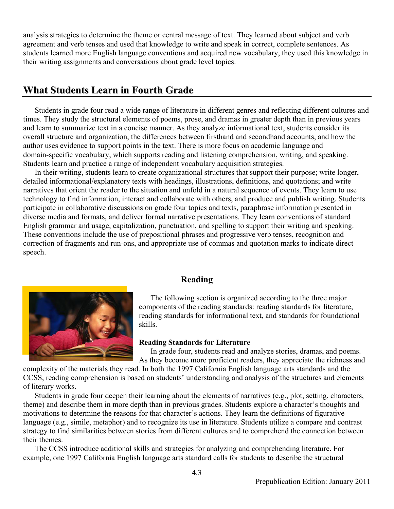analysis strategies to determine the theme or central message of text. They learned about subject and verb agreement and verb tenses and used that knowledge to write and speak in correct, complete sentences. As students learned more English language conventions and acquired new vocabulary, they used this knowledge in their writing assignments and conversations about grade level topics.

#### **What Students Learn in Fourth Grade**

Students in grade four read a wide range of literature in different genres and reflecting different cultures and times. They study the structural elements of poems, prose, and dramas in greater depth than in previous years and learn to summarize text in a concise manner. As they analyze informational text, students consider its overall structure and organization, the differences between firsthand and secondhand accounts, and how the author uses evidence to support points in the text. There is more focus on academic language and domain-specific vocabulary, which supports reading and listening comprehension, writing, and speaking. Students learn and practice a range of independent vocabulary acquisition strategies.

In their writing, students learn to create organizational structures that support their purpose; write longer, detailed informational/explanatory texts with headings, illustrations, definitions, and quotations; and write narratives that orient the reader to the situation and unfold in a natural sequence of events. They learn to use technology to find information, interact and collaborate with others, and produce and publish writing. Students participate in collaborative discussions on grade four topics and texts, paraphrase information presented in diverse media and formats, and deliver formal narrative presentations. They learn conventions of standard English grammar and usage, capitalization, punctuation, and spelling to support their writing and speaking. These conventions include the use of prepositional phrases and progressive verb tenses, recognition and correction of fragments and run-ons, and appropriate use of commas and quotation marks to indicate direct speech.



#### **Reading**

The following section is organized according to the three major components of the reading standards: reading standards for literature, reading standards for informational text, and standards for foundational skills.

#### **Reading Standards for Literature**

In grade four, students read and analyze stories, dramas, and poems. As they become more proficient readers, they appreciate the richness and

complexity of the materials they read. In both the 1997 California English language arts standards and the CCSS, reading comprehension is based on students' understanding and analysis of the structures and elements of literary works.

Students in grade four deepen their learning about the elements of narratives (e.g., plot, setting, characters, theme) and describe them in more depth than in previous grades. Students explore a character's thoughts and motivations to determine the reasons for that character's actions. They learn the definitions of figurative language (e.g., simile, metaphor) and to recognize its use in literature. Students utilize a compare and contrast strategy to find similarities between stories from different cultures and to comprehend the connection between their themes.

The CCSS introduce additional skills and strategies for analyzing and comprehending literature. For example, one 1997 California English language arts standard calls for students to describe the structural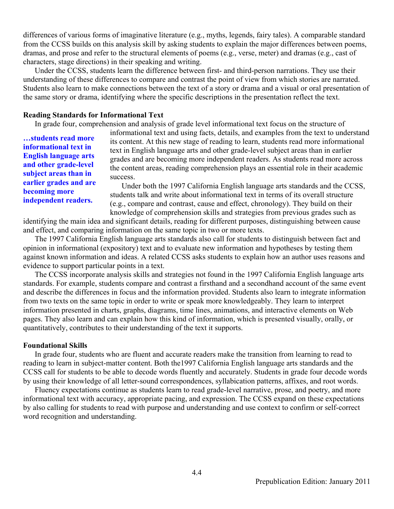differences of various forms of imaginative literature (e.g., myths, legends, fairy tales). A comparable standard from the CCSS builds on this analysis skill by asking students to explain the major differences between poems, dramas, and prose and refer to the structural elements of poems (e.g., verse, meter) and dramas (e.g., cast of characters, stage directions) in their speaking and writing.

Under the CCSS, students learn the difference between first- and third-person narrations. They use their understanding of these differences to compare and contrast the point of view from which stories are narrated. Students also learn to make connections between the text of a story or drama and a visual or oral presentation of the same story or drama, identifying where the specific descriptions in the presentation reflect the text.

#### **Reading Standards for Informational Text**

In grade four, comprehension and analysis of grade level informational text focus on the structure of

**…students read more informational text in English language arts and other grade-level subject areas than in earlier grades and are becoming more independent readers.** 

informational text and using facts, details, and examples from the text to understand its content. At this new stage of reading to learn, students read more informational text in English language arts and other grade-level subject areas than in earlier grades and are becoming more independent readers. As students read more across the content areas, reading comprehension plays an essential role in their academic success.

Under both the 1997 California English language arts standards and the CCSS, students talk and write about informational text in terms of its overall structure (e.g., compare and contrast, cause and effect, chronology). They build on their knowledge of comprehension skills and strategies from previous grades such as

identifying the main idea and significant details, reading for different purposes, distinguishing between cause and effect, and comparing information on the same topic in two or more texts.

The 1997 California English language arts standards also call for students to distinguish between fact and opinion in informational (expository) text and to evaluate new information and hypotheses by testing them against known information and ideas. A related CCSS asks students to explain how an author uses reasons and evidence to support particular points in a text.

The CCSS incorporate analysis skills and strategies not found in the 1997 California English language arts standards. For example, students compare and contrast a firsthand and a secondhand account of the same event and describe the differences in focus and the information provided. Students also learn to integrate information from two texts on the same topic in order to write or speak more knowledgeably. They learn to interpret information presented in charts, graphs, diagrams, time lines, animations, and interactive elements on Web pages. They also learn and can explain how this kind of information, which is presented visually, orally, or quantitatively, contributes to their understanding of the text it supports.

#### **Foundational Skills**

In grade four, students who are fluent and accurate readers make the transition from learning to read to reading to learn in subject-matter content. Both the1997 California English language arts standards and the CCSS call for students to be able to decode words fluently and accurately. Students in grade four decode words by using their knowledge of all letter-sound correspondences, syllabication patterns, affixes, and root words.

Fluency expectations continue as students learn to read grade-level narrative, prose, and poetry, and more informational text with accuracy, appropriate pacing, and expression. The CCSS expand on these expectations by also calling for students to read with purpose and understanding and use context to confirm or self-correct word recognition and understanding.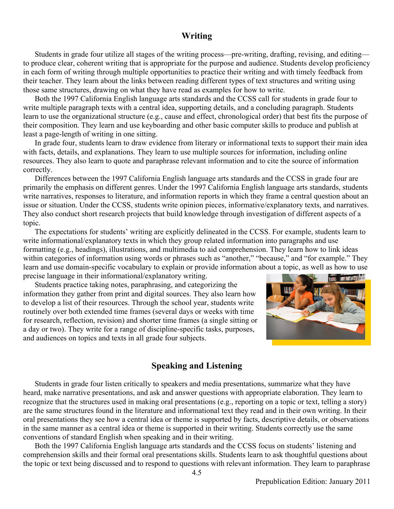#### **Writing**

Students in grade four utilize all stages of the writing process—pre-writing, drafting, revising, and editing to produce clear, coherent writing that is appropriate for the purpose and audience. Students develop proficiency in each form of writing through multiple opportunities to practice their writing and with timely feedback from their teacher. They learn about the links between reading different types of text structures and writing using those same structures, drawing on what they have read as examples for how to write.

Both the 1997 California English language arts standards and the CCSS call for students in grade four to write multiple paragraph texts with a central idea, supporting details, and a concluding paragraph. Students learn to use the organizational structure (e.g., cause and effect, chronological order) that best fits the purpose of their composition. They learn and use keyboarding and other basic computer skills to produce and publish at least a page-length of writing in one sitting.

In grade four, students learn to draw evidence from literary or informational texts to support their main idea with facts, details, and explanations. They learn to use multiple sources for information, including online resources. They also learn to quote and paraphrase relevant information and to cite the source of information correctly.

Differences between the 1997 California English language arts standards and the CCSS in grade four are primarily the emphasis on different genres. Under the 1997 California English language arts standards, students write narratives, responses to literature, and information reports in which they frame a central question about an issue or situation. Under the CCSS, students write opinion pieces, informative/explanatory texts, and narratives. They also conduct short research projects that build knowledge through investigation of different aspects of a topic.

The expectations for students' writing are explicitly delineated in the CCSS. For example, students learn to write informational/explanatory texts in which they group related information into paragraphs and use formatting (e.g., headings), illustrations, and multimedia to aid comprehension. They learn how to link ideas within categories of information using words or phrases such as "another," "because," and "for example." They learn and use domain-specific vocabulary to explain or provide information about a topic, as well as how to use precise language in their informational/explanatory writing.

Students practice taking notes, paraphrasing, and categorizing the information they gather from print and digital sources. They also learn how to develop a list of their resources. Through the school year, students write routinely over both extended time frames (several days or weeks with time for research, reflection, revision) and shorter time frames (a single sitting or a day or two). They write for a range of discipline-specific tasks, purposes, and audiences on topics and texts in all grade four subjects.



#### **Speaking and Listening**

Students in grade four listen critically to speakers and media presentations, summarize what they have heard, make narrative presentations, and ask and answer questions with appropriate elaboration. They learn to recognize that the structures used in making oral presentations (e.g., reporting on a topic or text, telling a story) are the same structures found in the literature and informational text they read and in their own writing. In their oral presentations they see how a central idea or theme is supported by facts, descriptive details, or observations in the same manner as a central idea or theme is supported in their writing. Students correctly use the same conventions of standard English when speaking and in their writing.

Both the 1997 California English language arts standards and the CCSS focus on students' listening and comprehension skills and their formal oral presentations skills. Students learn to ask thoughtful questions about the topic or text being discussed and to respond to questions with relevant information. They learn to paraphrase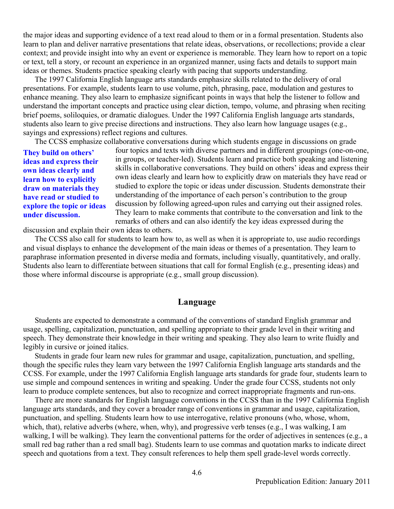the major ideas and supporting evidence of a text read aloud to them or in a formal presentation. Students also learn to plan and deliver narrative presentations that relate ideas, observations, or recollections; provide a clear context; and provide insight into why an event or experience is memorable. They learn how to report on a topic or text, tell a story, or recount an experience in an organized manner, using facts and details to support main ideas or themes. Students practice speaking clearly with pacing that supports understanding.

The 1997 California English language arts standards emphasize skills related to the delivery of oral presentations. For example, students learn to use volume, pitch, phrasing, pace, modulation and gestures to enhance meaning. They also learn to emphasize significant points in ways that help the listener to follow and understand the important concepts and practice using clear diction, tempo, volume, and phrasing when reciting brief poems, soliloquies, or dramatic dialogues. Under the 1997 California English language arts standards, students also learn to give precise directions and instructions. They also learn how language usages (e.g., sayings and expressions) reflect regions and cultures.

The CCSS emphasize collaborative conversations during which students engage in discussions on grade

**They build on others' ideas and express their own ideas clearly and learn how to explicitly draw on materials they have read or studied to explore the topic or ideas under discussion.** 

four topics and texts with diverse partners and in different groupings (one-on-one, in groups, or teacher-led). Students learn and practice both speaking and listening skills in collaborative conversations. They build on others' ideas and express their own ideas clearly and learn how to explicitly draw on materials they have read or studied to explore the topic or ideas under discussion. Students demonstrate their understanding of the importance of each person's contribution to the group discussion by following agreed-upon rules and carrying out their assigned roles. They learn to make comments that contribute to the conversation and link to the remarks of others and can also identify the key ideas expressed during the

discussion and explain their own ideas to others.

The CCSS also call for students to learn how to, as well as when it is appropriate to, use audio recordings and visual displays to enhance the development of the main ideas or themes of a presentation. They learn to paraphrase information presented in diverse media and formats, including visually, quantitatively, and orally. Students also learn to differentiate between situations that call for formal English (e.g., presenting ideas) and those where informal discourse is appropriate (e.g., small group discussion).

#### **Language**

Students are expected to demonstrate a command of the conventions of standard English grammar and usage, spelling, capitalization, punctuation, and spelling appropriate to their grade level in their writing and speech. They demonstrate their knowledge in their writing and speaking. They also learn to write fluidly and legibly in cursive or joined italics.

Students in grade four learn new rules for grammar and usage, capitalization, punctuation, and spelling, though the specific rules they learn vary between the 1997 California English language arts standards and the CCSS. For example, under the 1997 California English language arts standards for grade four, students learn to use simple and compound sentences in writing and speaking. Under the grade four CCSS, students not only learn to produce complete sentences, but also to recognize and correct inappropriate fragments and run-ons.

There are more standards for English language conventions in the CCSS than in the 1997 California English language arts standards, and they cover a broader range of conventions in grammar and usage, capitalization, punctuation, and spelling. Students learn how to use interrogative, relative pronouns (who, whose, whom, which, that), relative adverbs (where, when, why), and progressive verb tenses (e.g., I was walking, I am walking, I will be walking). They learn the conventional patterns for the order of adjectives in sentences (e.g., a small red bag rather than a red small bag). Students learn to use commas and quotation marks to indicate direct speech and quotations from a text. They consult references to help them spell grade-level words correctly.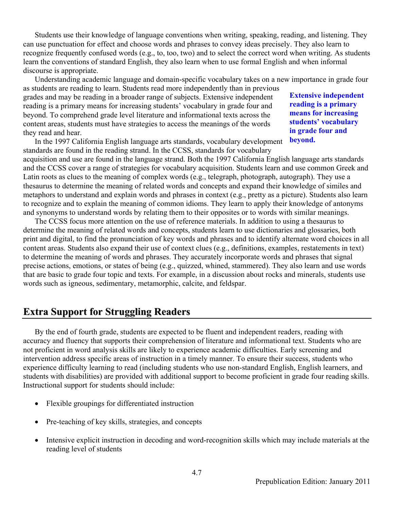Students use their knowledge of language conventions when writing, speaking, reading, and listening. They can use punctuation for effect and choose words and phrases to convey ideas precisely. They also learn to recognize frequently confused words (e.g., to, too, two) and to select the correct word when writing. As students learn the conventions of standard English, they also learn when to use formal English and when informal discourse is appropriate.

Understanding academic language and domain-specific vocabulary takes on a new importance in grade four as students are reading to learn. Students read more independently than in previous

grades and may be reading in a broader range of subjects. Extensive independent reading is a primary means for increasing students' vocabulary in grade four and beyond. To comprehend grade level literature and informational texts across the content areas, students must have strategies to access the meanings of the words they read and hear.

In the 1997 California English language arts standards, vocabulary development standards are found in the reading strand. In the CCSS, standards for vocabulary

**Extensive independent reading is a primary means for increasing students' vocabulary in grade four and beyond.** 

acquisition and use are found in the language strand. Both the 1997 California English language arts standards and the CCSS cover a range of strategies for vocabulary acquisition. Students learn and use common Greek and Latin roots as clues to the meaning of complex words (e.g., telegraph, photograph, autograph). They use a thesaurus to determine the meaning of related words and concepts and expand their knowledge of similes and metaphors to understand and explain words and phrases in context (e.g., pretty as a picture). Students also learn to recognize and to explain the meaning of common idioms. They learn to apply their knowledge of antonyms and synonyms to understand words by relating them to their opposites or to words with similar meanings.

The CCSS focus more attention on the use of reference materials. In addition to using a thesaurus to determine the meaning of related words and concepts, students learn to use dictionaries and glossaries, both print and digital, to find the pronunciation of key words and phrases and to identify alternate word choices in all content areas. Students also expand their use of context clues (e.g., definitions, examples, restatements in text) to determine the meaning of words and phrases. They accurately incorporate words and phrases that signal precise actions, emotions, or states of being (e.g., quizzed, whined, stammered). They also learn and use words that are basic to grade four topic and texts. For example, in a discussion about rocks and minerals, students use words such as igneous, sedimentary, metamorphic, calcite, and feldspar.

#### **Extra Support for Struggling Readers**

By the end of fourth grade, students are expected to be fluent and independent readers, reading with accuracy and fluency that supports their comprehension of literature and informational text. Students who are not proficient in word analysis skills are likely to experience academic difficulties. Early screening and intervention address specific areas of instruction in a timely manner. To ensure their success, students who experience difficulty learning to read (including students who use non-standard English, English learners, and students with disabilities) are provided with additional support to become proficient in grade four reading skills. Instructional support for students should include:

- Flexible groupings for differentiated instruction
- Pre-teaching of key skills, strategies, and concepts
- Intensive explicit instruction in decoding and word-recognition skills which may include materials at the reading level of students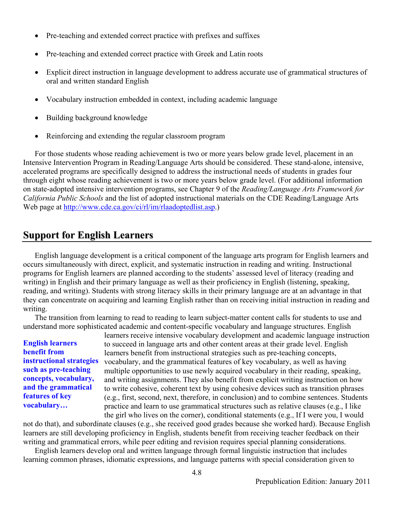- Pre-teaching and extended correct practice with prefixes and suffixes
- Pre-teaching and extended correct practice with Greek and Latin roots
- Explicit direct instruction in language development to address accurate use of grammatical structures of oral and written standard English
- Vocabulary instruction embedded in context, including academic language
- Building background knowledge
- Reinforcing and extending the regular classroom program

For those students whose reading achievement is two or more years below grade level, placement in an Intensive Intervention Program in Reading/Language Arts should be considered. These stand-alone, intensive, accelerated programs are specifically designed to address the instructional needs of students in grades four through eight whose reading achievement is two or more years below grade level. (For additional information on state-adopted intensive intervention programs, see Chapter 9 of the *Reading/Language Arts Framework for California Public Schools* and the list of adopted instructional materials on the CDE Reading/Language Arts Web page at http://www.cde.ca.gov/ci/rl/im/rlaadoptedlist.asp.)

#### **Support for English Learners**

English language development is a critical component of the language arts program for English learners and occurs simultaneously with direct, explicit, and systematic instruction in reading and writing. Instructional programs for English learners are planned according to the students' assessed level of literacy (reading and writing) in English and their primary language as well as their proficiency in English (listening, speaking, reading, and writing). Students with strong literacy skills in their primary language are at an advantage in that they can concentrate on acquiring and learning English rather than on receiving initial instruction in reading and writing.

The transition from learning to read to reading to learn subject-matter content calls for students to use and understand more sophisticated academic and content-specific vocabulary and language structures. English

**English learners benefit from instructional strategies such as pre-teaching concepts, vocabulary, and the grammatical features of key vocabulary…** 

learners receive intensive vocabulary development and academic language instruction to succeed in language arts and other content areas at their grade level. English learners benefit from instructional strategies such as pre-teaching concepts, vocabulary, and the grammatical features of key vocabulary, as well as having multiple opportunities to use newly acquired vocabulary in their reading, speaking, and writing assignments. They also benefit from explicit writing instruction on how to write cohesive, coherent text by using cohesive devices such as transition phrases (e.g., first, second, next, therefore, in conclusion) and to combine sentences. Students practice and learn to use grammatical structures such as relative clauses (e.g., I like the girl who lives on the corner), conditional statements (e.g., If I were you, I would

not do that), and subordinate clauses (e.g., she received good grades because she worked hard). Because English learners are still developing proficiency in English, students benefit from receiving teacher feedback on their writing and grammatical errors, while peer editing and revision requires special planning considerations.

English learners develop oral and written language through formal linguistic instruction that includes learning common phrases, idiomatic expressions, and language patterns with special consideration given to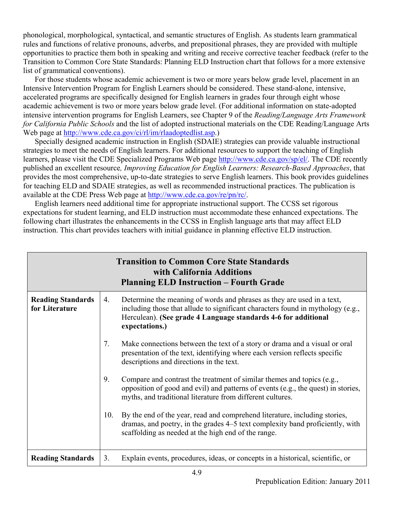phonological, morphological, syntactical, and semantic structures of English. As students learn grammatical rules and functions of relative pronouns, adverbs, and prepositional phrases, they are provided with multiple opportunities to practice them both in speaking and writing and receive corrective teacher feedback (refer to the Transition to Common Core State Standards: Planning ELD Instruction chart that follows for a more extensive list of grammatical conventions).

For those students whose academic achievement is two or more years below grade level, placement in an Intensive Intervention Program for English Learners should be considered. These stand-alone, intensive, accelerated programs are specifically designed for English learners in grades four through eight whose academic achievement is two or more years below grade level. (For additional information on state-adopted intensive intervention programs for English Learners, see Chapter 9 of the *Reading/Language Arts Framework for California Public Schools* and the list of adopted instructional materials on the CDE Reading/Language Arts Web page at http://www.cde.ca.gov/ci/rl/im/rlaadoptedlist.asp.)

Specially designed academic instruction in English (SDAIE) strategies can provide valuable instructional strategies to meet the needs of English learners. For additional resources to support the teaching of English learners, please visit the CDE Specialized Programs Web page http://www.cde.ca.gov/sp/el/. The CDE recently published an excellent resource*, Improving Education for English Learners: Research-Based Approaches*, that provides the most comprehensive, up-to-date strategies to serve English learners. This book provides guidelines for teaching ELD and SDAIE strategies, as well as recommended instructional practices. The publication is available at the CDE Press Web page at http://www.cde.ca.gov/re/pn/rc/.

English learners need additional time for appropriate instructional support. The CCSS set rigorous expectations for student learning, and ELD instruction must accommodate these enhanced expectations. The following chart illustrates the enhancements in the CCSS in English language arts that may affect ELD instruction. This chart provides teachers with initial guidance in planning effective ELD instruction.

|                                            |     | <b>Transition to Common Core State Standards</b><br>with California Additions<br><b>Planning ELD Instruction – Fourth Grade</b>                                                                                                               |
|--------------------------------------------|-----|-----------------------------------------------------------------------------------------------------------------------------------------------------------------------------------------------------------------------------------------------|
| <b>Reading Standards</b><br>for Literature | 4.  | Determine the meaning of words and phrases as they are used in a text,<br>including those that allude to significant characters found in mythology (e.g.,<br>Herculean). (See grade 4 Language standards 4-6 for additional<br>expectations.) |
|                                            | 7.  | Make connections between the text of a story or drama and a visual or oral<br>presentation of the text, identifying where each version reflects specific<br>descriptions and directions in the text.                                          |
|                                            | 9.  | Compare and contrast the treatment of similar themes and topics (e.g.,<br>opposition of good and evil) and patterns of events (e.g., the quest) in stories,<br>myths, and traditional literature from different cultures.                     |
|                                            | 10. | By the end of the year, read and comprehend literature, including stories,<br>dramas, and poetry, in the grades 4–5 text complexity band proficiently, with<br>scaffolding as needed at the high end of the range.                            |
| <b>Reading Standards</b>                   | 3.  | Explain events, procedures, ideas, or concepts in a historical, scientific, or                                                                                                                                                                |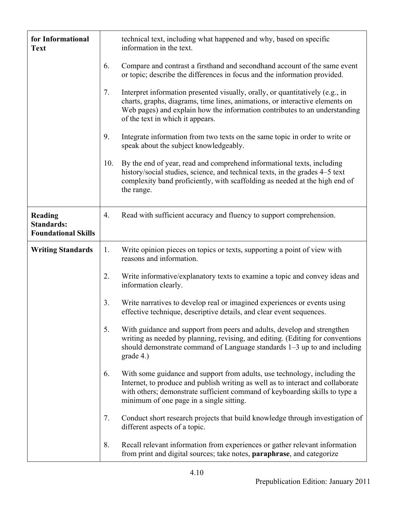| for Informational<br><b>Text</b>                           |     | technical text, including what happened and why, based on specific<br>information in the text.                                                                                                                                                                                          |
|------------------------------------------------------------|-----|-----------------------------------------------------------------------------------------------------------------------------------------------------------------------------------------------------------------------------------------------------------------------------------------|
|                                                            | 6.  | Compare and contrast a firsthand and secondhand account of the same event<br>or topic; describe the differences in focus and the information provided.                                                                                                                                  |
|                                                            | 7.  | Interpret information presented visually, orally, or quantitatively (e.g., in<br>charts, graphs, diagrams, time lines, animations, or interactive elements on<br>Web pages) and explain how the information contributes to an understanding<br>of the text in which it appears.         |
|                                                            | 9.  | Integrate information from two texts on the same topic in order to write or<br>speak about the subject knowledgeably.                                                                                                                                                                   |
|                                                            | 10. | By the end of year, read and comprehend informational texts, including<br>history/social studies, science, and technical texts, in the grades 4–5 text<br>complexity band proficiently, with scaffolding as needed at the high end of<br>the range.                                     |
| Reading<br><b>Standards:</b><br><b>Foundational Skills</b> | 4.  | Read with sufficient accuracy and fluency to support comprehension.                                                                                                                                                                                                                     |
| <b>Writing Standards</b>                                   | 1.  | Write opinion pieces on topics or texts, supporting a point of view with<br>reasons and information.                                                                                                                                                                                    |
|                                                            | 2.  | Write informative/explanatory texts to examine a topic and convey ideas and<br>information clearly.                                                                                                                                                                                     |
|                                                            | 3.  | Write narratives to develop real or imagined experiences or events using<br>effective technique, descriptive details, and clear event sequences.                                                                                                                                        |
|                                                            | 5.  | With guidance and support from peers and adults, develop and strengthen<br>writing as needed by planning, revising, and editing. (Editing for conventions<br>should demonstrate command of Language standards 1–3 up to and including<br>grade 4.)                                      |
|                                                            | 6.  | With some guidance and support from adults, use technology, including the<br>Internet, to produce and publish writing as well as to interact and collaborate<br>with others; demonstrate sufficient command of keyboarding skills to type a<br>minimum of one page in a single sitting. |
|                                                            | 7.  | Conduct short research projects that build knowledge through investigation of<br>different aspects of a topic.                                                                                                                                                                          |
|                                                            | 8.  | Recall relevant information from experiences or gather relevant information<br>from print and digital sources; take notes, paraphrase, and categorize                                                                                                                                   |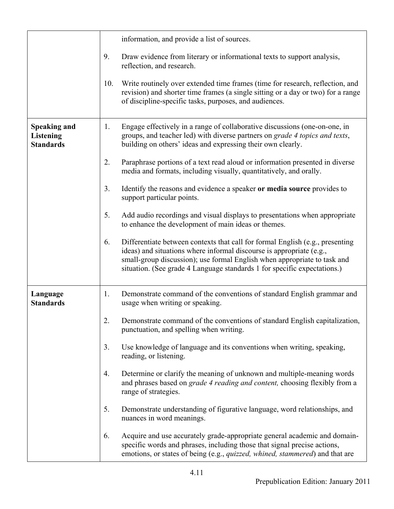|                                                             |     | information, and provide a list of sources.                                                                                                                                                                                                                                                                   |
|-------------------------------------------------------------|-----|---------------------------------------------------------------------------------------------------------------------------------------------------------------------------------------------------------------------------------------------------------------------------------------------------------------|
|                                                             | 9.  | Draw evidence from literary or informational texts to support analysis,<br>reflection, and research.                                                                                                                                                                                                          |
|                                                             | 10. | Write routinely over extended time frames (time for research, reflection, and<br>revision) and shorter time frames (a single sitting or a day or two) for a range<br>of discipline-specific tasks, purposes, and audiences.                                                                                   |
| <b>Speaking and</b><br><b>Listening</b><br><b>Standards</b> | 1.  | Engage effectively in a range of collaborative discussions (one-on-one, in<br>groups, and teacher led) with diverse partners on grade 4 topics and texts,<br>building on others' ideas and expressing their own clearly.                                                                                      |
|                                                             | 2.  | Paraphrase portions of a text read aloud or information presented in diverse<br>media and formats, including visually, quantitatively, and orally.                                                                                                                                                            |
|                                                             | 3.  | Identify the reasons and evidence a speaker or media source provides to<br>support particular points.                                                                                                                                                                                                         |
|                                                             | 5.  | Add audio recordings and visual displays to presentations when appropriate<br>to enhance the development of main ideas or themes.                                                                                                                                                                             |
|                                                             | 6.  | Differentiate between contexts that call for formal English (e.g., presenting<br>ideas) and situations where informal discourse is appropriate (e.g.,<br>small-group discussion); use formal English when appropriate to task and<br>situation. (See grade 4 Language standards 1 for specific expectations.) |
| Language<br><b>Standards</b>                                | 1.  | Demonstrate command of the conventions of standard English grammar and<br>usage when writing or speaking.                                                                                                                                                                                                     |
|                                                             | 2.  | Demonstrate command of the conventions of standard English capitalization,<br>punctuation, and spelling when writing.                                                                                                                                                                                         |
|                                                             | 3.  | Use knowledge of language and its conventions when writing, speaking,<br>reading, or listening.                                                                                                                                                                                                               |
|                                                             | 4.  | Determine or clarify the meaning of unknown and multiple-meaning words<br>and phrases based on grade 4 reading and content, choosing flexibly from a<br>range of strategies.                                                                                                                                  |
|                                                             | 5.  | Demonstrate understanding of figurative language, word relationships, and<br>nuances in word meanings.                                                                                                                                                                                                        |
|                                                             | 6.  | Acquire and use accurately grade-appropriate general academic and domain-<br>specific words and phrases, including those that signal precise actions,<br>emotions, or states of being (e.g., <i>quizzed, whined, stammered</i> ) and that are                                                                 |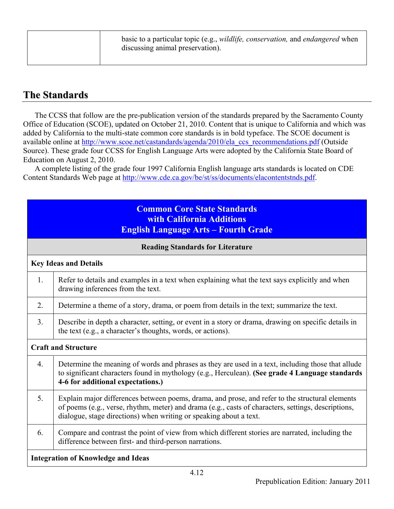| basic to a particular topic (e.g., <i>wildlife, conservation</i> , and <i>endangered</i> when<br>discussing animal preservation). |
|-----------------------------------------------------------------------------------------------------------------------------------|
|                                                                                                                                   |

### **The Standards**

The CCSS that follow are the pre-publication version of the standards prepared by the Sacramento County Office of Education (SCOE), updated on October 21, 2010. Content that is unique to California and which was added by California to the multi-state common core standards is in bold typeface. The SCOE document is available online at http://www.scoe.net/castandards/agenda/2010/ela\_ccs\_recommendations.pdf (Outside Source). These grade four CCSS for English Language Arts were adopted by the California State Board of Education on August 2, 2010.

A complete listing of the grade four 1997 California English language arts standards is located on CDE Content Standards Web page at http://www.cde.ca.gov/be/st/ss/documents/elacontentstnds.pdf.

|                            | <b>Common Core State Standards</b><br>with California Additions<br><b>English Language Arts - Fourth Grade</b>                                                                                                                                                               |  |
|----------------------------|------------------------------------------------------------------------------------------------------------------------------------------------------------------------------------------------------------------------------------------------------------------------------|--|
|                            | <b>Reading Standards for Literature</b>                                                                                                                                                                                                                                      |  |
|                            | <b>Key Ideas and Details</b>                                                                                                                                                                                                                                                 |  |
| 1.                         | Refer to details and examples in a text when explaining what the text says explicitly and when<br>drawing inferences from the text.                                                                                                                                          |  |
| 2.                         | Determine a theme of a story, drama, or poem from details in the text; summarize the text.                                                                                                                                                                                   |  |
| 3.                         | Describe in depth a character, setting, or event in a story or drama, drawing on specific details in<br>the text (e.g., a character's thoughts, words, or actions).                                                                                                          |  |
| <b>Craft and Structure</b> |                                                                                                                                                                                                                                                                              |  |
| 4.                         | Determine the meaning of words and phrases as they are used in a text, including those that allude<br>to significant characters found in mythology (e.g., Herculean). (See grade 4 Language standards<br>4-6 for additional expectations.)                                   |  |
| 5 <sub>1</sub>             | Explain major differences between poems, drama, and prose, and refer to the structural elements<br>of poems (e.g., verse, rhythm, meter) and drama (e.g., casts of characters, settings, descriptions,<br>dialogue, stage directions) when writing or speaking about a text. |  |
| 6.                         | Compare and contrast the point of view from which different stories are narrated, including the<br>difference between first- and third-person narrations.                                                                                                                    |  |
|                            | <b>Integration of Knowledge and Ideas</b>                                                                                                                                                                                                                                    |  |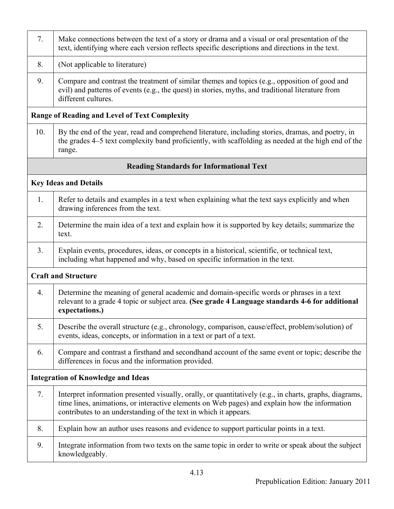| 7.             | Make connections between the text of a story or drama and a visual or oral presentation of the<br>text, identifying where each version reflects specific descriptions and directions in the text.                                                                            |
|----------------|------------------------------------------------------------------------------------------------------------------------------------------------------------------------------------------------------------------------------------------------------------------------------|
| 8.             | (Not applicable to literature)                                                                                                                                                                                                                                               |
| 9.             | Compare and contrast the treatment of similar themes and topics (e.g., opposition of good and<br>evil) and patterns of events (e.g., the quest) in stories, myths, and traditional literature from<br>different cultures.                                                    |
|                | <b>Range of Reading and Level of Text Complexity</b>                                                                                                                                                                                                                         |
| 10.            | By the end of the year, read and comprehend literature, including stories, dramas, and poetry, in<br>the grades 4–5 text complexity band proficiently, with scaffolding as needed at the high end of the<br>range.                                                           |
|                | <b>Reading Standards for Informational Text</b>                                                                                                                                                                                                                              |
|                | <b>Key Ideas and Details</b>                                                                                                                                                                                                                                                 |
| 1.             | Refer to details and examples in a text when explaining what the text says explicitly and when<br>drawing inferences from the text.                                                                                                                                          |
| 2.             | Determine the main idea of a text and explain how it is supported by key details; summarize the<br>text.                                                                                                                                                                     |
| 3 <sub>1</sub> | Explain events, procedures, ideas, or concepts in a historical, scientific, or technical text,<br>including what happened and why, based on specific information in the text.                                                                                                |
|                | <b>Craft and Structure</b>                                                                                                                                                                                                                                                   |
| 4.             | Determine the meaning of general academic and domain-specific words or phrases in a text<br>relevant to a grade 4 topic or subject area. (See grade 4 Language standards 4-6 for additional<br>expectations.)                                                                |
| 5.             | Describe the overall structure (e.g., chronology, comparison, cause/effect, problem/solution) of<br>events, ideas, concepts, or information in a text or part of a text.                                                                                                     |
| 6.             | Compare and contrast a firsthand and secondhand account of the same event or topic; describe the<br>differences in focus and the information provided.                                                                                                                       |
|                | <b>Integration of Knowledge and Ideas</b>                                                                                                                                                                                                                                    |
| 7.             | Interpret information presented visually, orally, or quantitatively (e.g., in charts, graphs, diagrams,<br>time lines, animations, or interactive elements on Web pages) and explain how the information<br>contributes to an understanding of the text in which it appears. |
| 8.             | Explain how an author uses reasons and evidence to support particular points in a text.                                                                                                                                                                                      |
| 9.             | Integrate information from two texts on the same topic in order to write or speak about the subject<br>knowledgeably.                                                                                                                                                        |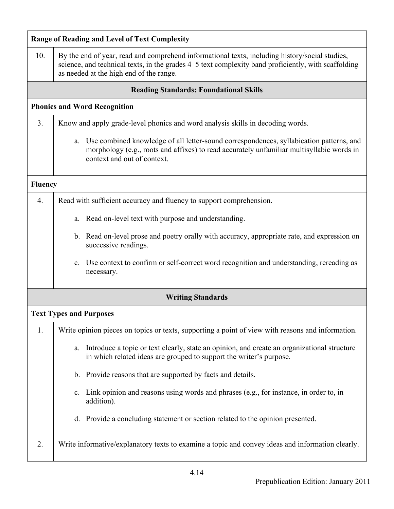|                | <b>Range of Reading and Level of Text Complexity</b>                                                                                                                                                                                             |
|----------------|--------------------------------------------------------------------------------------------------------------------------------------------------------------------------------------------------------------------------------------------------|
| 10.            | By the end of year, read and comprehend informational texts, including history/social studies,<br>science, and technical texts, in the grades 4–5 text complexity band proficiently, with scaffolding<br>as needed at the high end of the range. |
|                | <b>Reading Standards: Foundational Skills</b>                                                                                                                                                                                                    |
|                | <b>Phonics and Word Recognition</b>                                                                                                                                                                                                              |
| 3.             | Know and apply grade-level phonics and word analysis skills in decoding words.                                                                                                                                                                   |
|                | Use combined knowledge of all letter-sound correspondences, syllabication patterns, and<br>a.<br>morphology (e.g., roots and affixes) to read accurately unfamiliar multisyllabic words in<br>context and out of context.                        |
| <b>Fluency</b> |                                                                                                                                                                                                                                                  |
| 4.             | Read with sufficient accuracy and fluency to support comprehension.                                                                                                                                                                              |
|                | Read on-level text with purpose and understanding.<br>a.                                                                                                                                                                                         |
|                | b. Read on-level prose and poetry orally with accuracy, appropriate rate, and expression on<br>successive readings.                                                                                                                              |
|                | c. Use context to confirm or self-correct word recognition and understanding, rereading as<br>necessary.                                                                                                                                         |
|                | <b>Writing Standards</b>                                                                                                                                                                                                                         |
|                | <b>Text Types and Purposes</b>                                                                                                                                                                                                                   |
| 1.             | Write opinion pieces on topics or texts, supporting a point of view with reasons and information.                                                                                                                                                |
|                | Introduce a topic or text clearly, state an opinion, and create an organizational structure<br>a.<br>in which related ideas are grouped to support the writer's purpose.                                                                         |
|                | b. Provide reasons that are supported by facts and details.                                                                                                                                                                                      |
|                | Link opinion and reasons using words and phrases (e.g., for instance, in order to, in<br>$c_{\cdot}$<br>addition).                                                                                                                               |
|                | d. Provide a concluding statement or section related to the opinion presented.                                                                                                                                                                   |
| 2.             | Write informative/explanatory texts to examine a topic and convey ideas and information clearly.                                                                                                                                                 |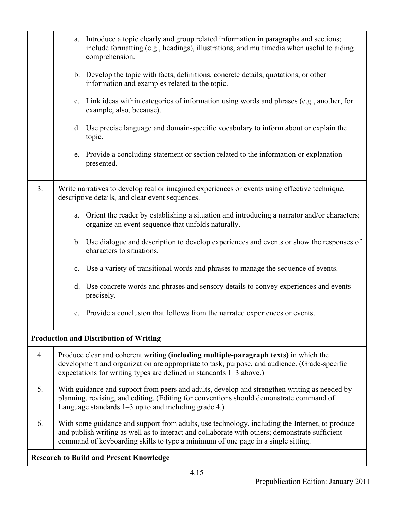|                  | a. Introduce a topic clearly and group related information in paragraphs and sections;<br>include formatting (e.g., headings), illustrations, and multimedia when useful to aiding<br>comprehension.                                                                                 |  |  |
|------------------|--------------------------------------------------------------------------------------------------------------------------------------------------------------------------------------------------------------------------------------------------------------------------------------|--|--|
|                  | b. Develop the topic with facts, definitions, concrete details, quotations, or other<br>information and examples related to the topic.                                                                                                                                               |  |  |
|                  | c. Link ideas within categories of information using words and phrases (e.g., another, for<br>example, also, because).                                                                                                                                                               |  |  |
|                  | d. Use precise language and domain-specific vocabulary to inform about or explain the<br>topic.                                                                                                                                                                                      |  |  |
|                  | e. Provide a concluding statement or section related to the information or explanation<br>presented.                                                                                                                                                                                 |  |  |
| 3 <sub>1</sub>   | Write narratives to develop real or imagined experiences or events using effective technique,<br>descriptive details, and clear event sequences.                                                                                                                                     |  |  |
|                  | a. Orient the reader by establishing a situation and introducing a narrator and/or characters;<br>organize an event sequence that unfolds naturally.                                                                                                                                 |  |  |
|                  | b. Use dialogue and description to develop experiences and events or show the responses of<br>characters to situations.                                                                                                                                                              |  |  |
|                  | c. Use a variety of transitional words and phrases to manage the sequence of events.                                                                                                                                                                                                 |  |  |
|                  | d. Use concrete words and phrases and sensory details to convey experiences and events<br>precisely.                                                                                                                                                                                 |  |  |
|                  | e. Provide a conclusion that follows from the narrated experiences or events.                                                                                                                                                                                                        |  |  |
|                  | <b>Production and Distribution of Writing</b>                                                                                                                                                                                                                                        |  |  |
| $\overline{4}$ . | Produce clear and coherent writing (including multiple-paragraph texts) in which the<br>development and organization are appropriate to task, purpose, and audience. (Grade-specific<br>expectations for writing types are defined in standards 1-3 above.)                          |  |  |
| 5.               | With guidance and support from peers and adults, develop and strengthen writing as needed by<br>planning, revising, and editing. (Editing for conventions should demonstrate command of<br>Language standards $1-3$ up to and including grade 4.)                                    |  |  |
| 6.               | With some guidance and support from adults, use technology, including the Internet, to produce<br>and publish writing as well as to interact and collaborate with others; demonstrate sufficient<br>command of keyboarding skills to type a minimum of one page in a single sitting. |  |  |
|                  | <b>Research to Build and Present Knowledge</b>                                                                                                                                                                                                                                       |  |  |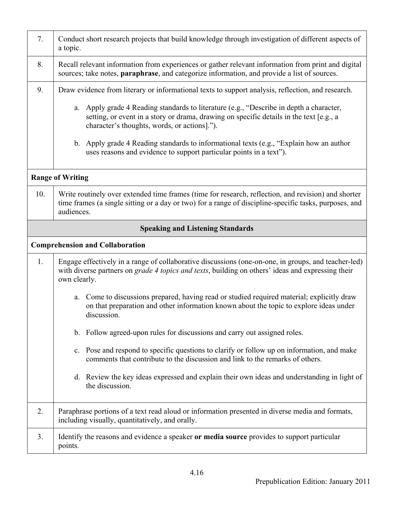| 7.  | Conduct short research projects that build knowledge through investigation of different aspects of<br>a topic.                                                                                                                     |
|-----|------------------------------------------------------------------------------------------------------------------------------------------------------------------------------------------------------------------------------------|
| 8.  | Recall relevant information from experiences or gather relevant information from print and digital<br>sources; take notes, paraphrase, and categorize information, and provide a list of sources.                                  |
| 9.  | Draw evidence from literary or informational texts to support analysis, reflection, and research.                                                                                                                                  |
|     | a. Apply grade 4 Reading standards to literature (e.g., "Describe in depth a character,<br>setting, or event in a story or drama, drawing on specific details in the text [e.g., a<br>character's thoughts, words, or actions]."). |
|     | b. Apply grade 4 Reading standards to informational texts (e.g., "Explain how an author<br>uses reasons and evidence to support particular points in a text").                                                                     |
|     | <b>Range of Writing</b>                                                                                                                                                                                                            |
| 10. | Write routinely over extended time frames (time for research, reflection, and revision) and shorter<br>time frames (a single sitting or a day or two) for a range of discipline-specific tasks, purposes, and<br>audiences.        |
|     | <b>Speaking and Listening Standards</b>                                                                                                                                                                                            |
|     | <b>Comprehension and Collaboration</b>                                                                                                                                                                                             |
| 1.  | Engage effectively in a range of collaborative discussions (one-on-one, in groups, and teacher-led)<br>with diverse partners on grade 4 topics and texts, building on others' ideas and expressing their<br>own clearly.           |
|     | Come to discussions prepared, having read or studied required material; explicitly draw<br>a.<br>on that preparation and other information known about the topic to explore ideas under<br>discussion.                             |
|     | b. Follow agreed-upon rules for discussions and carry out assigned roles.                                                                                                                                                          |
|     | c. Pose and respond to specific questions to clarify or follow up on information, and make<br>comments that contribute to the discussion and link to the remarks of others.                                                        |
|     | d. Review the key ideas expressed and explain their own ideas and understanding in light of<br>the discussion.                                                                                                                     |
| 2.  | Paraphrase portions of a text read aloud or information presented in diverse media and formats,<br>including visually, quantitatively, and orally.                                                                                 |
| 3.  | Identify the reasons and evidence a speaker or media source provides to support particular<br>points.                                                                                                                              |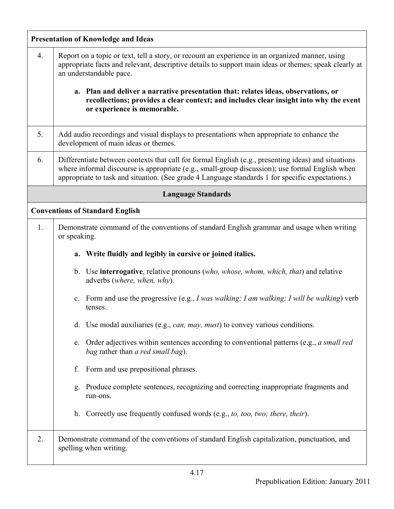|    | <b>Presentation of Knowledge and Ideas</b>                                                                                                                                                                                                                                                                 |  |  |
|----|------------------------------------------------------------------------------------------------------------------------------------------------------------------------------------------------------------------------------------------------------------------------------------------------------------|--|--|
| 4. | Report on a topic or text, tell a story, or recount an experience in an organized manner, using<br>appropriate facts and relevant, descriptive details to support main ideas or themes; speak clearly at<br>an understandable pace.                                                                        |  |  |
|    | a. Plan and deliver a narrative presentation that: relates ideas, observations, or<br>recollections; provides a clear context; and includes clear insight into why the event<br>or experience is memorable.                                                                                                |  |  |
| 5. | Add audio recordings and visual displays to presentations when appropriate to enhance the<br>development of main ideas or themes.                                                                                                                                                                          |  |  |
| 6. | Differentiate between contexts that call for formal English (e.g., presenting ideas) and situations<br>where informal discourse is appropriate (e.g., small-group discussion); use formal English when<br>appropriate to task and situation. (See grade 4 Language standards 1 for specific expectations.) |  |  |
|    | <b>Language Standards</b>                                                                                                                                                                                                                                                                                  |  |  |
|    | <b>Conventions of Standard English</b>                                                                                                                                                                                                                                                                     |  |  |
| 1. | Demonstrate command of the conventions of standard English grammar and usage when writing<br>or speaking.                                                                                                                                                                                                  |  |  |
|    | a. Write fluidly and legibly in cursive or joined italics.                                                                                                                                                                                                                                                 |  |  |
|    | b. Use <b>interrogative</b> , relative pronouns (who, whose, whom, which, that) and relative<br>adverbs (where, when, why).                                                                                                                                                                                |  |  |
|    | c. Form and use the progressive (e.g., I was walking; I am walking; I will be walking) verb<br>tenses.                                                                                                                                                                                                     |  |  |
|    | d. Use modal auxiliaries (e.g., <i>can, may, must</i> ) to convey various conditions.                                                                                                                                                                                                                      |  |  |
|    | Order adjectives within sentences according to conventional patterns (e.g., a small red<br>e.<br>bag rather than a red small bag).                                                                                                                                                                         |  |  |
|    | Form and use prepositional phrases.<br>f.                                                                                                                                                                                                                                                                  |  |  |
|    | Produce complete sentences, recognizing and correcting inappropriate fragments and<br>$\mathbf{Q}$ .<br>run-ons.                                                                                                                                                                                           |  |  |
|    | h. Correctly use frequently confused words (e.g., to, too, two; there, their).                                                                                                                                                                                                                             |  |  |
| 2. | Demonstrate command of the conventions of standard English capitalization, punctuation, and<br>spelling when writing.                                                                                                                                                                                      |  |  |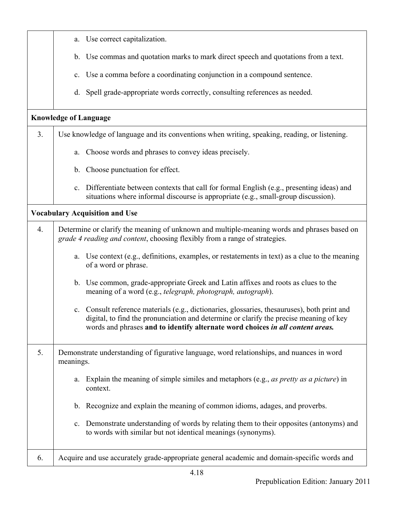|                | a. Use correct capitalization.                                                                                                                                                                                                                                           |
|----------------|--------------------------------------------------------------------------------------------------------------------------------------------------------------------------------------------------------------------------------------------------------------------------|
|                | b. Use commas and quotation marks to mark direct speech and quotations from a text.                                                                                                                                                                                      |
|                | c. Use a comma before a coordinating conjunction in a compound sentence.                                                                                                                                                                                                 |
|                | d. Spell grade-appropriate words correctly, consulting references as needed.                                                                                                                                                                                             |
|                | <b>Knowledge of Language</b>                                                                                                                                                                                                                                             |
| 3 <sub>1</sub> | Use knowledge of language and its conventions when writing, speaking, reading, or listening.                                                                                                                                                                             |
|                | a. Choose words and phrases to convey ideas precisely.                                                                                                                                                                                                                   |
|                | b. Choose punctuation for effect.                                                                                                                                                                                                                                        |
|                | c. Differentiate between contexts that call for formal English (e.g., presenting ideas) and<br>situations where informal discourse is appropriate (e.g., small-group discussion).                                                                                        |
|                | <b>Vocabulary Acquisition and Use</b>                                                                                                                                                                                                                                    |
| 4.             | Determine or clarify the meaning of unknown and multiple-meaning words and phrases based on<br>grade 4 reading and content, choosing flexibly from a range of strategies.                                                                                                |
|                | a. Use context (e.g., definitions, examples, or restatements in text) as a clue to the meaning<br>of a word or phrase.                                                                                                                                                   |
|                | b. Use common, grade-appropriate Greek and Latin affixes and roots as clues to the<br>meaning of a word (e.g., telegraph, photograph, autograph).                                                                                                                        |
|                | c. Consult reference materials (e.g., dictionaries, glossaries, thesauruses), both print and<br>digital, to find the pronunciation and determine or clarify the precise meaning of key<br>words and phrases and to identify alternate word choices in all content areas. |
| 5.             | Demonstrate understanding of figurative language, word relationships, and nuances in word<br>meanings.                                                                                                                                                                   |
|                | Explain the meaning of simple similes and metaphors (e.g., as pretty as a picture) in<br>a.<br>context.                                                                                                                                                                  |
|                | b. Recognize and explain the meaning of common idioms, adages, and proverbs.                                                                                                                                                                                             |
|                | c. Demonstrate understanding of words by relating them to their opposites (antonyms) and<br>to words with similar but not identical meanings (synonyms).                                                                                                                 |
| 6.             | Acquire and use accurately grade-appropriate general academic and domain-specific words and                                                                                                                                                                              |